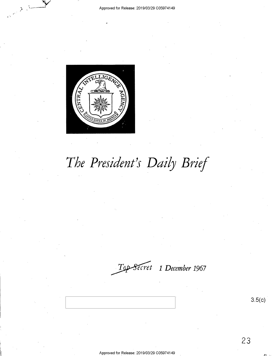

# *The President's Daily Brief*

*~t 1 December* **<sup>1967</sup>**

3.5(c)

23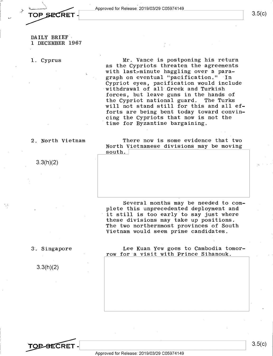,:....•

3.5(c)

DAILY BRIEF 1 DECEMBER 1967

1, Cyprus

Mr, Vance is postponing his return as the Cypriots threaten the agreements with last-minute haggling over a paragraph on eventual "pacification." In Cypriot eyes, pacification would include withdrawal of ali Greek and Turkish forces, but leave guns in the hands of<br>the Cypriot national guard. The Turks the Cypriot national guard. will not stand still for this and all efforts are being bent today toward convincing the Cypriots that now is not the time for Byzantine bargaining,

#### 2, North Vietnam

3.3(h)(2)

There now is some evidence that two North Vietnamese divisions may be moving  $south.$ 

Several months may be needed to complete this unprecedented deployment and it still is too early to say just where these divisions may take up positions, The two northernmost provinces of South Vietnam would seem prime candidates.

3, Singapore

3.3(h)(2)

Lee Kuan Yew goes to Cambodia tomorrow for a visit with Prince Sihanouk.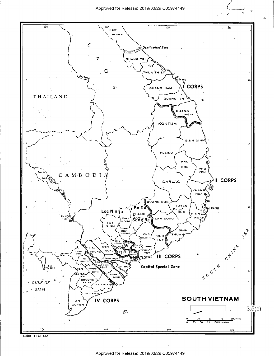Approved for Release: 2019/03/29 C0597 4149



68810 11-67 CIA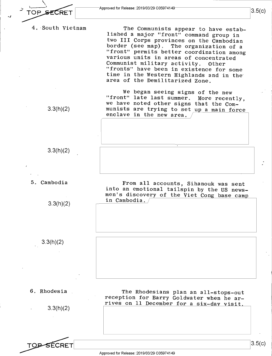CRET

*.J* 

Approved for Release: 2019/03/29 C0597 414

 $3.5(c)$ 

4, ·South Vietnam

The Communists appear to have established a major "front" command group in two III Corps provinces on the Cambodian border (see map). The organization of a "front" permits better coordination among various units in areas of concentrated<br>Communist military activity. Other Communist military activity. "fronts" have been in existence for some time in the Western Highlands and in the· area of the Demilitarized Zone.

We began seeing signs of the new "front" late last summer. More recently, we have noted other signs that the Communists are trying to set up a main force enclave in the new area.

3.3(h)(2)

3.3(h)(2)

5, Cambodia

3.3(h)(2)

From all accounts, Sihanouk was sent into an emotional tailspin by the US newsmen's discovery of the Viet Cong base camp in Cambodia.

6. Rhodesia

3.3(h)(2)

3.3(h)(2)

The Rhodesians plan an all-stops-out reception for Barry Goldwater when he arrives on 11 December for a six-dav visit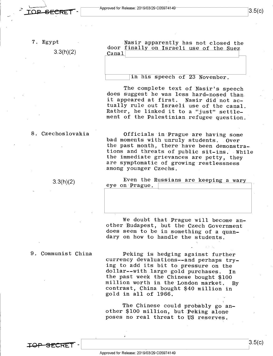<sup>~</sup>**L\_ \_\_\_\_\_\_\_\_\_\_\_\_\_\_\_\_\_\_\_\_\_\_\_\_\_** <sup>~</sup>

7. Egypt

\

.,

3.3(h)(2)

Nasir apparently has not closed the door finally on Israeli use of the Suez  $C$ anal

**L\_\_ \_\_\_\_\_\_\_\_\_\_\_\_\_\_\_\_ \_\_\_\_<sup>J</sup>**

in his speech of 23 November.

The complete text of Nasir's speech does suggest he was less hard-nosed than it appeared at first. Nasir did not actually rule out Israeli use of the canal. Rather, he linked it to a "just" settlement of the Palestinian refugee question.

#### 8. Czechoslovakia

 $3.3(h)(2)$ 

Officials in Prague are having some bad moments with unruly students. Over the past month, there have been demonstrations and threats of public sit-ins. While the immediate grievances are petty, they are symptomatic of growing restlessness among younger Czechs.

Even the Russians are keeping a wary eye on Prague.

We doubt that Prague will become another Budapest, but the Czech Government does seem to be in something of a quandary on how to handle the students.

#### 9. Communist China

Peking is hedging against further currency devaluations--and perhaps trying to add its bit to pressure on the dollar--with large gold purchases. In the past week the Chinese bought \$100 million worth in the London market. By contrast, China bought \$40 million in gold in all of 1966.

The Chinese could probably go another \$100 million, but Peking alone poses no real threat to US reserves.

**L\_ \_\_\_\_\_\_\_\_\_\_\_\_\_\_\_\_\_\_\_\_\_\_\_\_\_** <sup>~</sup>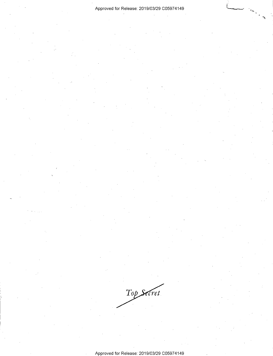#### Approved for Release: 2019/03/29 C0597 4149

Top Secret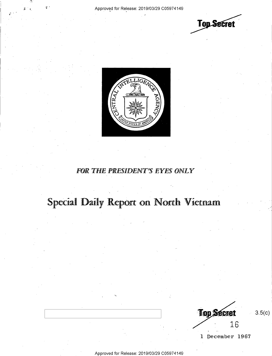;·

**Top Secret** 



### **FOR THE PRESIDENT'S EYES ONLY**

## Special Daily Report on North Vietnam

**Top Secret** 16

1 December 1967

3.5(c)

Approved for Release: 2019/03/29 C0597 4149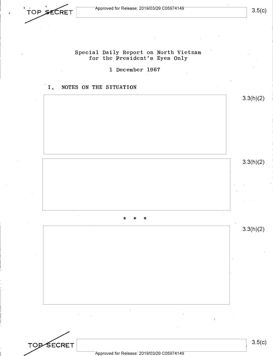• **TOP SECRET** Approved for Release: 2019/03/29 C05974149 3.5(C) **//OP SECRET** Approved for Release: 2019/03/29 C05974149 3.5(C)

### Special Daily Report on North Vietnam for the President's Eyes Only

1 December 1967

#### I. NOTES ON THE SITUATION



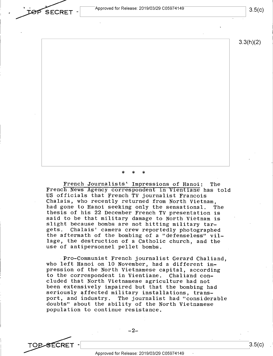Approved for Release: 2019/03/29 C05974149

3.5(c)

3.3(h)(2)

\* \* \*

French Journalists'· Impressions of Hanoi: The French News Agency correspondent in Vientiane has told US officials that French TV journalist Francois Chalais, who recently returned from North Vietnam, had gone to Hanoi seeking only the sensational. The thesis of his 22 December French TV presentation is said to be that military damage to North Vietnam is slight because bombs are not hitting military targets. Chalais' camera crew reportedly photographed the aftermath of the bombing of a "defenseless" village, the destruction of a Catholic church, and the use of antipersonnel pellet bombs.

Pro-Communist French journalist Gerard Chaliand, who left Hanoi on 10 November, had a different impression of the North Vietnamese capital, according to the correspondent in Vientiane. Chaliand concluded that North Vietnamese agriculture had not been extensively impaired but that the bombing had seriously affected military installations, transport, and industry. The journalist had "considerable doubts" about the ability of the North Vietnamese population to continue resistance.

-2-<br>
TOP SECRET - Approved for Release: 2019/03/29 C05974149

**SECRET -**

Approved for Release: 2019/03/29 C0597 4149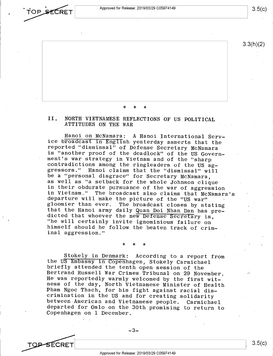Approved for Release: 2019/03/29 C05974149



**TOP-SECRET** 

3.3(h)(2)

\* \* \*

II. NORTH VIETNAMESE REFLECTIONS OF US POLITICAL ATTITUDES ON THE WAR

Hanoi on McNamara: A Hanoi International Service broadcast in English yesterday asserts that the reported "dismissal" of Defense Secretary McNamara is "another proof of the deadlock" of the US Government's war strategy in Vietnam and of the "sharp contradictions among the ringleaders of the US aggressors." Hanoi claims that the "dismissal" will be a "personal disgrace" for Secretary McNamara, as well as "a setback for the whole Johnson clique in their obdurate pursuance of the war of aggression in Vietnam." The broadcast also claims that McNamara's departure will make the picture of the "US war" <sup>g</sup>loomier than ever. The broadcast closes by stating that the Hanoi army daily Quan Doi Nhan Dan has predicted that whoever the new Defense Secretary is, "he will certainly invite ignominious failure on himself should he follow the beaten track of criminal aggression."

\* \* \*

Stokely in Denmark: According to a report from the US Embassy in Copenhagen, Stokely Carmichael briefly attended the tenth open session of the Bertrand Russell War Crimes Tribunal on 29 November. He was reportedly warmly welcomed by the first witness of the day, North Vietnamese Minister of Health Pham Ngoc Thach, for his fight against racial discrimination in the US and for creating solidarity between American and Vietnamese people. Carmichael departed for Oslo on the 30th promising to return to Copenhagen on 1 December.

 $-3-$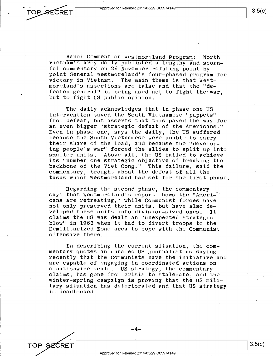

TOP SECRET

3.5(c)

Hanoi Comment on Westmoreland Program:. North Vietnam's army daily published a lengthy and scornful commentary on 26 November refuting point by point General Westmoreland's four-phased program for victory in Vietnam. The main theme is that Westmoreland's assertions are false and that the "defeated general" is being used not to fight the war, but to fight US public opinion.

The daily acknowledges that in phase one US intervention saved the South Vietnamese "puppets" from defeat, but asserts that this paved the way for **an** even bigger "strategic defeat of the Americans." Even in phase one, says the daily, the US suffered because the South Vietnamese were unable to carry their share of the load, and because the "developing people's war" forced the allies to split up into Above all, the US failed to achieve its "number one strategic objective of breaking the backbone of the Viet Cong." This failure, said the commentary, brought about the defeat of all the tasks which Westmoreland had set for the first phase.

Regarding the second phase, the commentary says that Westmoreland's report shows the "Americans are retreating," while Communist forces have not only preserved their units, but have also developed these units into division-sized ones. It claims the US was dealt an "unexpected strategic blow" in 1966 when it had to divert troops to the Demilitarized Zone area to cope with the Communist offensive there.

In describing the current situation, the commentary quotes an unnamed US journalist as saying recently that the Communists have the initiative and are capable of engaging in coordinated actions on a nationwide scale. US strategy, the commentary claims, has gone from crisis to stalemate, and the winter-spring campaign is proving that the US military situation has deteriorated and that US strategy is deadlocked.